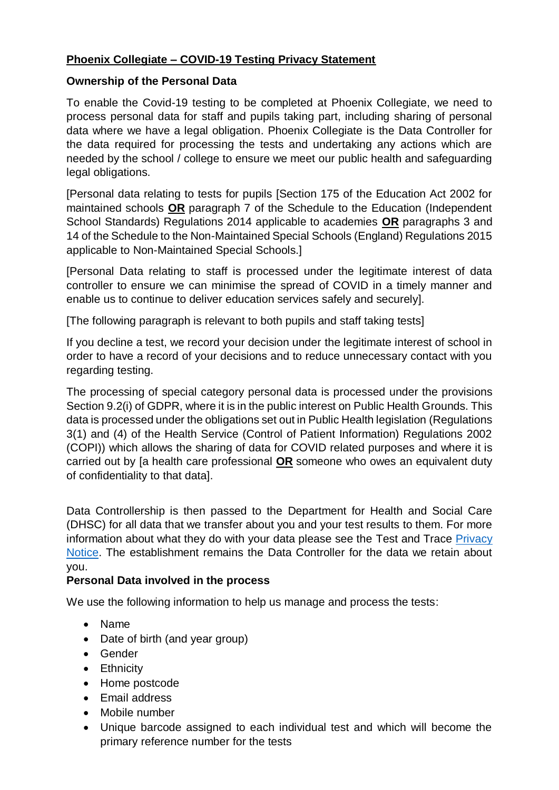# **Phoenix Collegiate – COVID-19 Testing Privacy Statement**

### **Ownership of the Personal Data**

To enable the Covid-19 testing to be completed at Phoenix Collegiate, we need to process personal data for staff and pupils taking part, including sharing of personal data where we have a legal obligation. Phoenix Collegiate is the Data Controller for the data required for processing the tests and undertaking any actions which are needed by the school / college to ensure we meet our public health and safeguarding legal obligations.

[Personal data relating to tests for pupils [Section 175 of the Education Act 2002 for maintained schools **OR** paragraph 7 of the Schedule to the Education (Independent School Standards) Regulations 2014 applicable to academies **OR** paragraphs 3 and 14 of the Schedule to the Non-Maintained Special Schools (England) Regulations 2015 applicable to Non-Maintained Special Schools.]

[Personal Data relating to staff is processed under the legitimate interest of data controller to ensure we can minimise the spread of COVID in a timely manner and enable us to continue to deliver education services safely and securely].

[The following paragraph is relevant to both pupils and staff taking tests]

If you decline a test, we record your decision under the legitimate interest of school in order to have a record of your decisions and to reduce unnecessary contact with you regarding testing.

The processing of special category personal data is processed under the provisions Section 9.2(i) of GDPR, where it is in the public interest on Public Health Grounds. This data is processed under the obligations set out in Public Health legislation (Regulations 3(1) and (4) of the Health Service (Control of Patient Information) Regulations 2002 (COPI)) which allows the sharing of data for COVID related purposes and where it is carried out by [a health care professional **OR** someone who owes an equivalent duty of confidentiality to that data].

Data Controllership is then passed to the Department for Health and Social Care (DHSC) for all data that we transfer about you and your test results to them. For more information about what they do with your data please see the Test and Trace [Privacy](https://contact-tracing.phe.gov.uk/help/privacy-notice)  [Notice.](https://contact-tracing.phe.gov.uk/help/privacy-notice) The establishment remains the Data Controller for the data we retain about you.

# **Personal Data involved in the process**

We use the following information to help us manage and process the tests:

- Name
- Date of birth (and year group)
- Gender
- Ethnicity
- Home postcode
- Email address
- Mobile number
- Unique barcode assigned to each individual test and which will become the primary reference number for the tests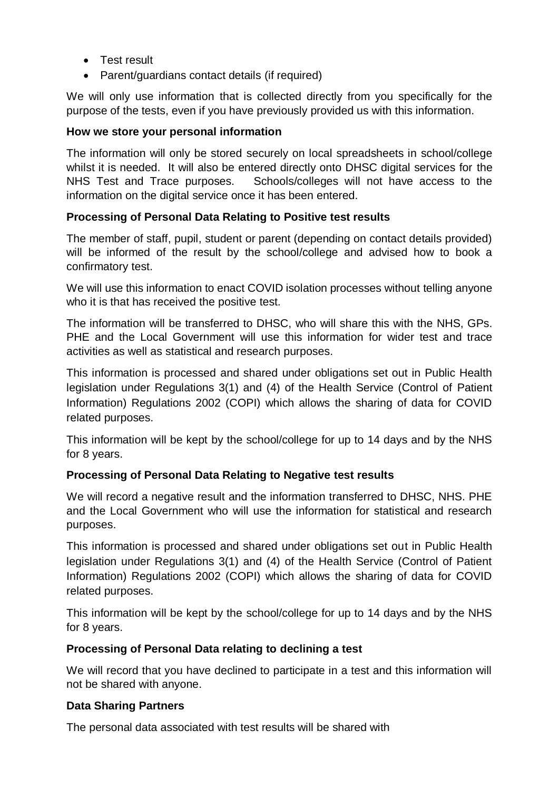- **•** Test result
- Parent/guardians contact details (if required)

We will only use information that is collected directly from you specifically for the purpose of the tests, even if you have previously provided us with this information.

# **How we store your personal information**

The information will only be stored securely on local spreadsheets in school/college whilst it is needed. It will also be entered directly onto DHSC digital services for the NHS Test and Trace purposes. Schools/colleges will not have access to the information on the digital service once it has been entered.

# **Processing of Personal Data Relating to Positive test results**

The member of staff, pupil, student or parent (depending on contact details provided) will be informed of the result by the school/college and advised how to book a confirmatory test.

We will use this information to enact COVID isolation processes without telling anyone who it is that has received the positive test.

The information will be transferred to DHSC, who will share this with the NHS, GPs. PHE and the Local Government will use this information for wider test and trace activities as well as statistical and research purposes.

This information is processed and shared under obligations set out in Public Health legislation under Regulations 3(1) and (4) of the Health Service (Control of Patient Information) Regulations 2002 (COPI) which allows the sharing of data for COVID related purposes.

This information will be kept by the school/college for up to 14 days and by the NHS for 8 years.

# **Processing of Personal Data Relating to Negative test results**

We will record a negative result and the information transferred to DHSC, NHS. PHE and the Local Government who will use the information for statistical and research purposes.

This information is processed and shared under obligations set out in Public Health legislation under Regulations 3(1) and (4) of the Health Service (Control of Patient Information) Regulations 2002 (COPI) which allows the sharing of data for COVID related purposes.

This information will be kept by the school/college for up to 14 days and by the NHS for 8 years.

# **Processing of Personal Data relating to declining a test**

We will record that you have declined to participate in a test and this information will not be shared with anyone.

# **Data Sharing Partners**

The personal data associated with test results will be shared with